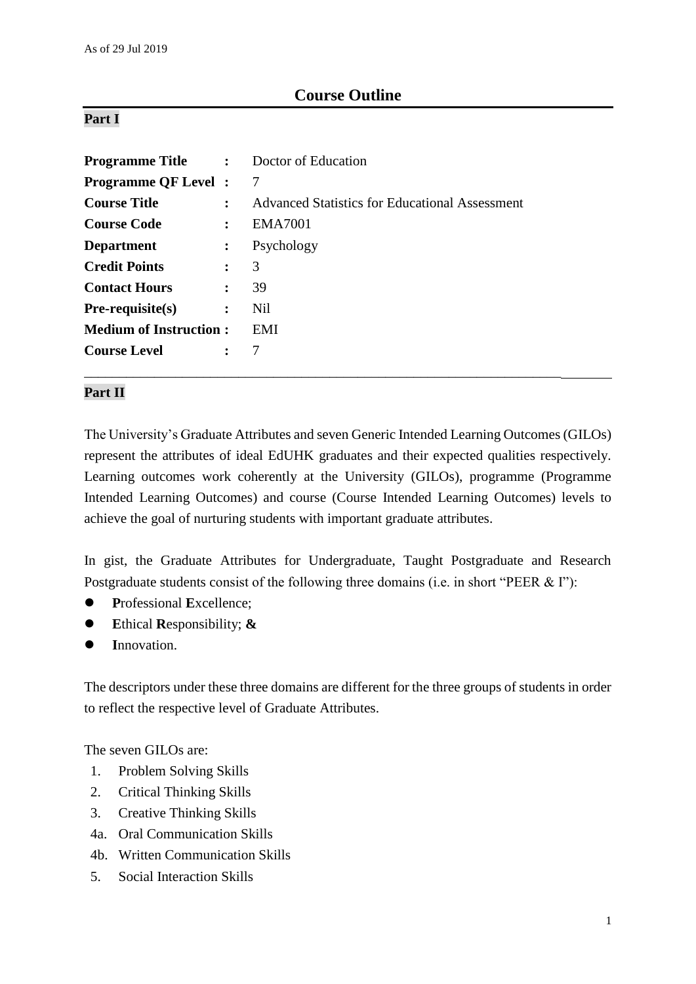# **Course Outline**

### **Part I**

| <b>Programme Title :</b> Doctor of Education |                      |                                                |
|----------------------------------------------|----------------------|------------------------------------------------|
| <b>Programme QF Level :</b>                  |                      | 7                                              |
| <b>Course Title</b>                          |                      | Advanced Statistics for Educational Assessment |
| <b>Course Code</b>                           | :                    | <b>EMA7001</b>                                 |
| <b>Department</b>                            | $\ddot{\cdot}$       | Psychology                                     |
| <b>Credit Points</b>                         | $\ddot{\phantom{a}}$ | 3                                              |
| <b>Contact Hours</b>                         | $\ddot{\cdot}$       | 39                                             |
| $Pre-requisite(s)$                           | $\ddot{\cdot}$       | Nil                                            |
| <b>Medium of Instruction:</b>                |                      | EMI                                            |
| <b>Course Level</b>                          | $\ddot{\cdot}$       |                                                |

\_\_\_\_\_\_\_\_\_\_\_\_\_\_\_\_\_\_\_\_\_\_\_\_\_\_\_\_\_\_\_\_\_\_\_\_\_\_\_\_\_\_\_\_\_\_\_\_\_\_\_\_\_\_\_\_\_\_\_\_\_\_\_\_\_\_\_\_

### **Part II**

The University's Graduate Attributes and seven Generic Intended Learning Outcomes (GILOs) represent the attributes of ideal EdUHK graduates and their expected qualities respectively. Learning outcomes work coherently at the University (GILOs), programme (Programme Intended Learning Outcomes) and course (Course Intended Learning Outcomes) levels to achieve the goal of nurturing students with important graduate attributes.

In gist, the Graduate Attributes for Undergraduate, Taught Postgraduate and Research Postgraduate students consist of the following three domains (i.e. in short "PEER & I"):

- **P**rofessional **E**xcellence;
- **E**thical **R**esponsibility; **&**
- **I**nnovation.

The descriptors under these three domains are different for the three groups of students in order to reflect the respective level of Graduate Attributes.

The seven GILOs are:

- 1. Problem Solving Skills
- 2. Critical Thinking Skills
- 3. Creative Thinking Skills
- 4a. Oral Communication Skills
- 4b. Written Communication Skills
- 5. Social Interaction Skills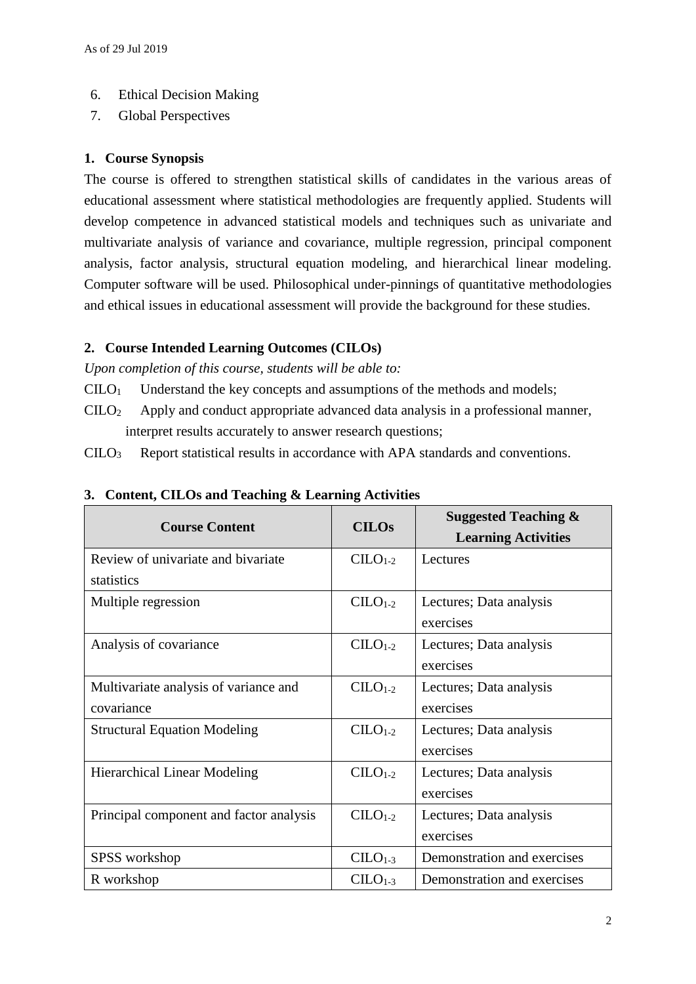- 6. Ethical Decision Making
- 7. Global Perspectives

#### **1. Course Synopsis**

The course is offered to strengthen statistical skills of candidates in the various areas of educational assessment where statistical methodologies are frequently applied. Students will develop competence in advanced statistical models and techniques such as univariate and multivariate analysis of variance and covariance, multiple regression, principal component analysis, factor analysis, structural equation modeling, and hierarchical linear modeling. Computer software will be used. Philosophical under-pinnings of quantitative methodologies and ethical issues in educational assessment will provide the background for these studies.

### **2. Course Intended Learning Outcomes (CILOs)**

*Upon completion of this course, students will be able to:*

- $CLLO<sub>1</sub>$  Understand the key concepts and assumptions of the methods and models;
- CILO<sup>2</sup> Apply and conduct appropriate advanced data analysis in a professional manner, interpret results accurately to answer research questions;

CILO<sup>3</sup> Report statistical results in accordance with APA standards and conventions.

| <b>Course Content</b>                   | <b>CILOs</b>                         | <b>Suggested Teaching &amp;</b><br><b>Learning Activities</b> |
|-----------------------------------------|--------------------------------------|---------------------------------------------------------------|
| Review of univariate and bivariate      | $C1-2$                               | Lectures                                                      |
| statistics                              |                                      |                                                               |
| Multiple regression                     | $C1-2$                               | Lectures; Data analysis                                       |
|                                         |                                      | exercises                                                     |
| Analysis of covariance                  | $C1-2$                               | Lectures; Data analysis                                       |
|                                         |                                      | exercises                                                     |
| Multivariate analysis of variance and   | $C1-2$                               | Lectures; Data analysis                                       |
| covariance                              |                                      | exercises                                                     |
| <b>Structural Equation Modeling</b>     | $CILO1-2$<br>Lectures; Data analysis |                                                               |
|                                         |                                      | exercises                                                     |
| <b>Hierarchical Linear Modeling</b>     | $C1-2$                               | Lectures; Data analysis                                       |
|                                         |                                      | exercises                                                     |
| Principal component and factor analysis | $CILO1-2$                            | Lectures; Data analysis                                       |
|                                         |                                      | exercises                                                     |
| SPSS workshop                           | $CILO1-3$                            | Demonstration and exercises                                   |
| R workshop                              | $CLLO1-3$                            | Demonstration and exercises                                   |

### **3. Content, CILOs and Teaching & Learning Activities**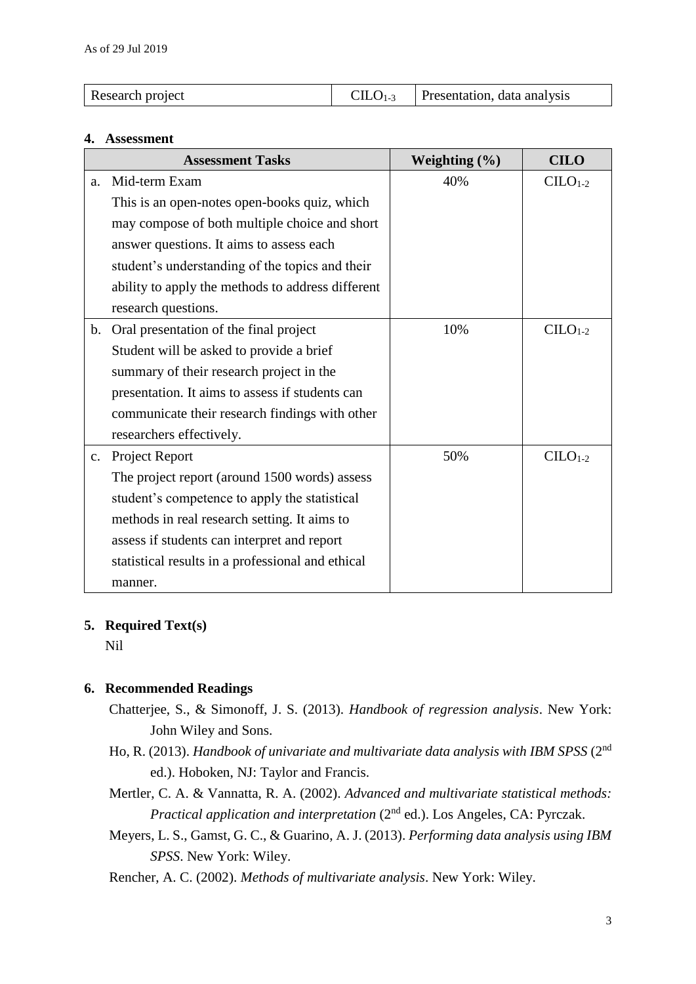| Research project | $CLLO1-3$ Presentation, data analysis |
|------------------|---------------------------------------|
|                  |                                       |

#### **4. Assessment**

| <b>Assessment Tasks</b> |                                                   | Weighting $(\% )$ | <b>CILO</b> |
|-------------------------|---------------------------------------------------|-------------------|-------------|
| a.                      | Mid-term Exam                                     | 40%               | $CLLO1-2$   |
|                         | This is an open-notes open-books quiz, which      |                   |             |
|                         | may compose of both multiple choice and short     |                   |             |
|                         | answer questions. It aims to assess each          |                   |             |
|                         | student's understanding of the topics and their   |                   |             |
|                         | ability to apply the methods to address different |                   |             |
|                         | research questions.                               |                   |             |
| $\mathbf b$ .           | Oral presentation of the final project            | 10%               | $CLLO1-2$   |
|                         | Student will be asked to provide a brief          |                   |             |
|                         | summary of their research project in the          |                   |             |
|                         | presentation. It aims to assess if students can   |                   |             |
|                         | communicate their research findings with other    |                   |             |
|                         | researchers effectively.                          |                   |             |
|                         | c. Project Report                                 | 50%               | $CLLO1-2$   |
|                         | The project report (around 1500 words) assess     |                   |             |
|                         | student's competence to apply the statistical     |                   |             |
|                         | methods in real research setting. It aims to      |                   |             |
|                         | assess if students can interpret and report       |                   |             |
|                         | statistical results in a professional and ethical |                   |             |
|                         | manner.                                           |                   |             |

### **5. Required Text(s)**

Nil

### **6. Recommended Readings**

- Chatterjee, S., & Simonoff, J. S. (2013). *Handbook of regression analysis*. New York: John Wiley and Sons.
- Ho, R. (2013). *Handbook of univariate and multivariate data analysis with IBM SPSS* (2nd ed.). Hoboken, NJ: Taylor and Francis.
- Mertler, C. A. & Vannatta, R. A. (2002). *Advanced and multivariate statistical methods: Practical application and interpretation* (2nd ed.). Los Angeles, CA: Pyrczak.
- Meyers, L. S., Gamst, G. C., & Guarino, A. J. (2013). *Performing data analysis using IBM SPSS*. New York: Wiley.

Rencher, A. C. (2002). *Methods of multivariate analysis*. New York: Wiley.